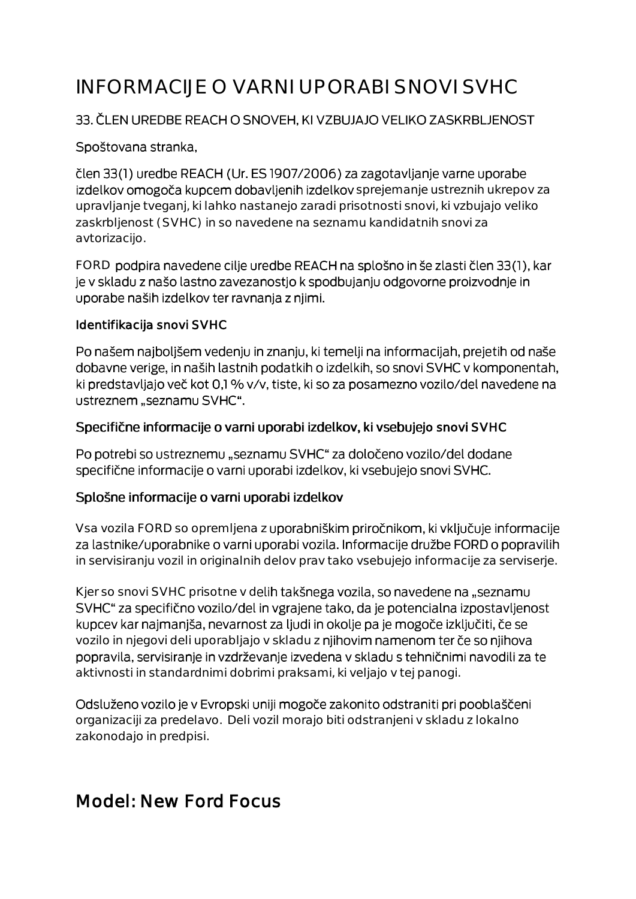# INFORMACIJE O VARNI UPORABI SNOVI SVHC

#### 33. ČLEN UREDBE REACH O SNOVEH, KI VZBUJAJO VELIKO ZASKRBLJENOST

#### Spoštovana stranka,

člen 33(1) uredbe REACH (Ur. ES 1907/2006) za zagotavljanje varne uporabe izdelkov omogoča kupcem dobavljenih izdelkov sprejemanje ustreznih ukrepov za upravljanje tveganj, ki lahko nastanejo zaradi prisotnosti snovi, ki vzbujajo veliko zaskrbljenost (SVHC) in so navedene na seznamu kandidatnih snovi za avtorizacijo.

FORD podpira navedene cilje uredbe REACH na splošno in še zlasti člen 33(1), kar je v skladu z našo lastno zavezanostjo k spodbujanju odgovorne proizvodnje in uporabe naših izdelkov ter ravnanja z njimi.

#### Identifikacija snovi SVHC

Po našem najboljšem vedenju in znanju, ki temelji na informacijah, prejetih od naše dobavne verige, in naših lastnih podatkih o izdelkih, so snovi SVHC v komponentah, ki predstavljajo več kot 0,1 % v/v, tiste, ki so za posamezno vozilo/del navedene na ustreznem "seznamu SVHC".

#### Specifične informacije o varni uporabi izdelkov, ki vsebujejo snovi SVHC

Po potrebi so ustreznemu "seznamu SVHC" za določeno vozilo/del dodane specifične informacije o varni uporabi izdelkov, ki vsebujejo snovi SVHC.

#### Splošne informacije o varni uporabi izdelkov

Vsa vozila FORD so opremljena z uporabniškim priročnikom, ki vključuje informacije za lastnike/uporabnike o varni uporabi vozila. Informacije družbe FORD o popravilih in servisiranju vozil in originalnih delov prav tako vsebujejo informacije za serviserje.

Kjer so snovi SVHC prisotne v delih takšnega vozila, so navedene na "seznamu SVHC" za specifično vozilo/del in vgrajene tako, da je potencialna izpostavljenost kupcev kar najmanjša, nevarnost za ljudi in okolje pa je mogoče izključiti, če se vozilo in njegovi deli uporabljajo v skladu z njihovim namenom ter če so njihova popravila, servisiranje in vzdrževanje izvedena v skladu s tehničnimi navodili za te aktivnosti in standardnimi dobrimi praksami, ki veljajo v tej panogi.

Odsluženo vozilo je v Evropski uniji mogoče zakonito odstraniti pri pooblaščeni organizaciji za predelavo. Deli vozil morajo biti odstranjeni v skladu z lokalno zakonodajo in predpisi.

# Model: New Ford Focus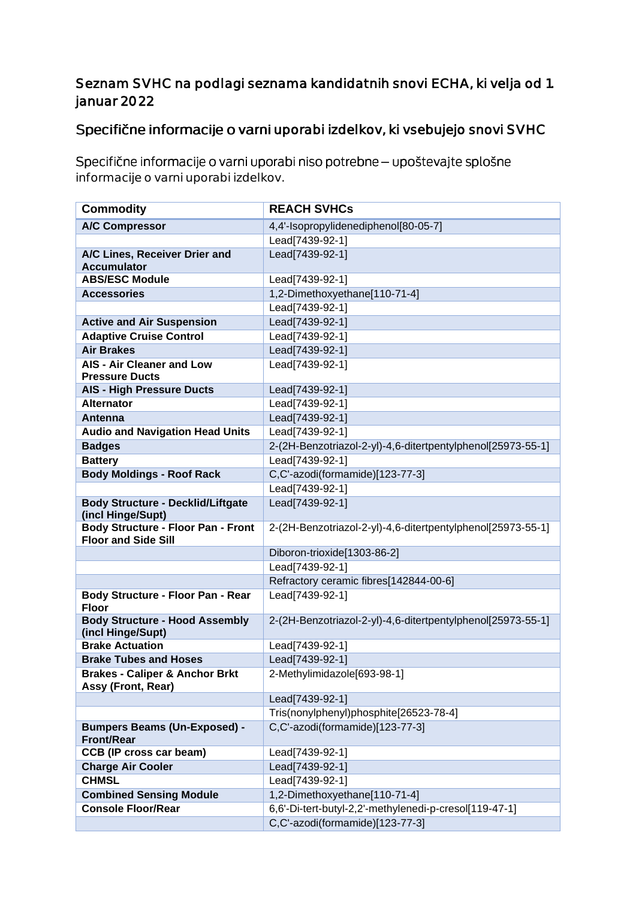### Seznam SVHC na podlagi seznama kandidatnih snovi ECHA, ki velja od 1. januar 2022

## Specifične informacije o varni uporabi izdelkov, ki vsebujejo snovi SVHC

Specifične informacije o varni uporabi niso potrebne - upoštevajte splošne informacije o varni uporabi izdelkov.

| <b>Commodity</b>                                                        | <b>REACH SVHCs</b>                                          |
|-------------------------------------------------------------------------|-------------------------------------------------------------|
| <b>A/C Compressor</b>                                                   | 4,4'-Isopropylidenediphenol[80-05-7]                        |
|                                                                         | Lead[7439-92-1]                                             |
| A/C Lines, Receiver Drier and                                           | Lead[7439-92-1]                                             |
| <b>Accumulator</b>                                                      |                                                             |
| <b>ABS/ESC Module</b>                                                   | Lead[7439-92-1]                                             |
| <b>Accessories</b>                                                      | 1,2-Dimethoxyethane[110-71-4]                               |
|                                                                         | Lead[7439-92-1]                                             |
| <b>Active and Air Suspension</b>                                        | Lead[7439-92-1]                                             |
| <b>Adaptive Cruise Control</b>                                          | Lead[7439-92-1]                                             |
| <b>Air Brakes</b>                                                       | Lead[7439-92-1]                                             |
| <b>AIS - Air Cleaner and Low</b>                                        | Lead[7439-92-1]                                             |
| <b>Pressure Ducts</b>                                                   |                                                             |
| <b>AIS - High Pressure Ducts</b>                                        | Lead[7439-92-1]                                             |
| <b>Alternator</b>                                                       | Lead[7439-92-1]                                             |
| Antenna                                                                 | Lead[7439-92-1]                                             |
| <b>Audio and Navigation Head Units</b>                                  | Lead[7439-92-1]                                             |
| <b>Badges</b>                                                           | 2-(2H-Benzotriazol-2-yl)-4,6-ditertpentylphenol[25973-55-1] |
| <b>Battery</b>                                                          | Lead[7439-92-1]                                             |
| <b>Body Moldings - Roof Rack</b>                                        | C,C'-azodi(formamide)[123-77-3]                             |
|                                                                         | Lead[7439-92-1]                                             |
| <b>Body Structure - Decklid/Liftgate</b>                                | Lead[7439-92-1]                                             |
| (incl Hinge/Supt)                                                       |                                                             |
| <b>Body Structure - Floor Pan - Front</b><br><b>Floor and Side Sill</b> | 2-(2H-Benzotriazol-2-yl)-4,6-ditertpentylphenol[25973-55-1] |
|                                                                         | Diboron-trioxide[1303-86-2]                                 |
|                                                                         | Lead[7439-92-1]                                             |
|                                                                         | Refractory ceramic fibres[142844-00-6]                      |
| Body Structure - Floor Pan - Rear<br><b>Floor</b>                       | Lead[7439-92-1]                                             |
| <b>Body Structure - Hood Assembly</b><br>(incl Hinge/Supt)              | 2-(2H-Benzotriazol-2-yl)-4,6-ditertpentylphenol[25973-55-1] |
| <b>Brake Actuation</b>                                                  | Lead[7439-92-1]                                             |
| <b>Brake Tubes and Hoses</b>                                            | Lead[7439-92-1]                                             |
| <b>Brakes - Caliper &amp; Anchor Brkt</b>                               | 2-Methylimidazole[693-98-1]                                 |
| Assy (Front, Rear)                                                      |                                                             |
|                                                                         | Lead[7439-92-1]                                             |
|                                                                         | Tris(nonylphenyl)phosphite[26523-78-4]                      |
| <b>Bumpers Beams (Un-Exposed) -</b>                                     | C,C'-azodi(formamide)[123-77-3]                             |
| <b>Front/Rear</b>                                                       |                                                             |
| <b>CCB (IP cross car beam)</b>                                          | Lead[7439-92-1]                                             |
| <b>Charge Air Cooler</b>                                                | Lead[7439-92-1]                                             |
| <b>CHMSL</b>                                                            | Lead[7439-92-1]                                             |
| <b>Combined Sensing Module</b>                                          | 1,2-Dimethoxyethane[110-71-4]                               |
| <b>Console Floor/Rear</b>                                               | 6,6'-Di-tert-butyl-2,2'-methylenedi-p-cresol[119-47-1]      |
|                                                                         | C,C'-azodi(formamide)[123-77-3]                             |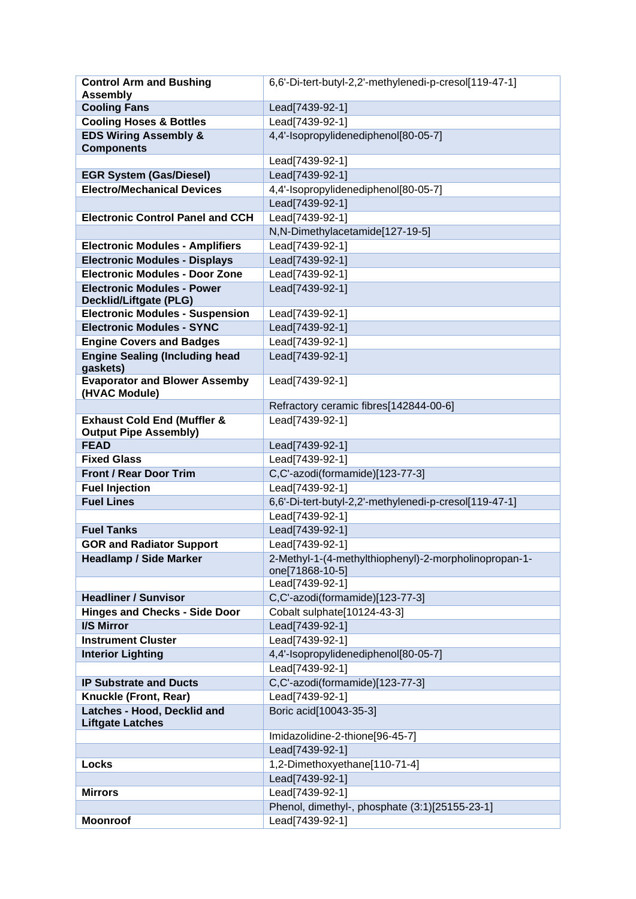| <b>Control Arm and Bushing</b>                                         | 6,6'-Di-tert-butyl-2,2'-methylenedi-p-cresol[119-47-1]                   |
|------------------------------------------------------------------------|--------------------------------------------------------------------------|
| <b>Assembly</b>                                                        |                                                                          |
| <b>Cooling Fans</b>                                                    | Lead[7439-92-1]                                                          |
| <b>Cooling Hoses &amp; Bottles</b>                                     | Lead[7439-92-1]                                                          |
| <b>EDS Wiring Assembly &amp;</b><br><b>Components</b>                  | 4,4'-Isopropylidenediphenol[80-05-7]                                     |
|                                                                        | Lead[7439-92-1]                                                          |
| <b>EGR System (Gas/Diesel)</b>                                         | Lead[7439-92-1]                                                          |
| <b>Electro/Mechanical Devices</b>                                      | 4,4'-Isopropylidenediphenol[80-05-7]                                     |
|                                                                        | Lead[7439-92-1]                                                          |
| <b>Electronic Control Panel and CCH</b>                                | Lead[7439-92-1]                                                          |
|                                                                        | N,N-Dimethylacetamide[127-19-5]                                          |
| <b>Electronic Modules - Amplifiers</b>                                 | Lead[7439-92-1]                                                          |
| <b>Electronic Modules - Displays</b>                                   | Lead[7439-92-1]                                                          |
| <b>Electronic Modules - Door Zone</b>                                  | Lead[7439-92-1]                                                          |
| <b>Electronic Modules - Power</b><br><b>Decklid/Liftgate (PLG)</b>     | Lead[7439-92-1]                                                          |
| <b>Electronic Modules - Suspension</b>                                 | Lead[7439-92-1]                                                          |
| <b>Electronic Modules - SYNC</b>                                       | Lead[7439-92-1]                                                          |
| <b>Engine Covers and Badges</b>                                        | Lead[7439-92-1]                                                          |
| <b>Engine Sealing (Including head</b><br>gaskets)                      | Lead[7439-92-1]                                                          |
| <b>Evaporator and Blower Assemby</b><br>(HVAC Module)                  | Lead[7439-92-1]                                                          |
|                                                                        | Refractory ceramic fibres[142844-00-6]                                   |
| <b>Exhaust Cold End (Muffler &amp;</b><br><b>Output Pipe Assembly)</b> | Lead[7439-92-1]                                                          |
| <b>FEAD</b>                                                            | Lead[7439-92-1]                                                          |
| <b>Fixed Glass</b>                                                     | Lead[7439-92-1]                                                          |
| <b>Front / Rear Door Trim</b>                                          | C,C'-azodi(formamide)[123-77-3]                                          |
| <b>Fuel Injection</b>                                                  | Lead[7439-92-1]                                                          |
| <b>Fuel Lines</b>                                                      | 6,6'-Di-tert-butyl-2,2'-methylenedi-p-cresol[119-47-1]                   |
|                                                                        | Lead[7439-92-1]                                                          |
| <b>Fuel Tanks</b>                                                      | Lead[7439-92-1]                                                          |
| <b>GOR and Radiator Support</b>                                        | Lead[7439-92-1]                                                          |
| <b>Headlamp / Side Marker</b>                                          | 2-Methyl-1-(4-methylthiophenyl)-2-morpholinopropan-1-<br>one[71868-10-5] |
|                                                                        | Lead[7439-92-1]                                                          |
| <b>Headliner / Sunvisor</b>                                            | C,C'-azodi(formamide)[123-77-3]                                          |
| <b>Hinges and Checks - Side Door</b>                                   | Cobalt sulphate[10124-43-3]                                              |
| I/S Mirror                                                             | Lead[7439-92-1]                                                          |
| <b>Instrument Cluster</b>                                              | Lead[7439-92-1]                                                          |
| <b>Interior Lighting</b>                                               | 4,4'-Isopropylidenediphenol[80-05-7]                                     |
|                                                                        | Lead[7439-92-1]                                                          |
| <b>IP Substrate and Ducts</b>                                          | C,C'-azodi(formamide)[123-77-3]                                          |
| Knuckle (Front, Rear)                                                  | Lead[7439-92-1]                                                          |
| Latches - Hood, Decklid and<br><b>Liftgate Latches</b>                 | Boric acid[10043-35-3]                                                   |
|                                                                        | Imidazolidine-2-thione[96-45-7]                                          |
|                                                                        | Lead[7439-92-1]                                                          |
| <b>Locks</b>                                                           | 1,2-Dimethoxyethane[110-71-4]                                            |
|                                                                        | Lead[7439-92-1]                                                          |
| <b>Mirrors</b>                                                         | Lead[7439-92-1]                                                          |
|                                                                        | Phenol, dimethyl-, phosphate (3:1)[25155-23-1]                           |
| <b>Moonroof</b>                                                        | Lead[7439-92-1]                                                          |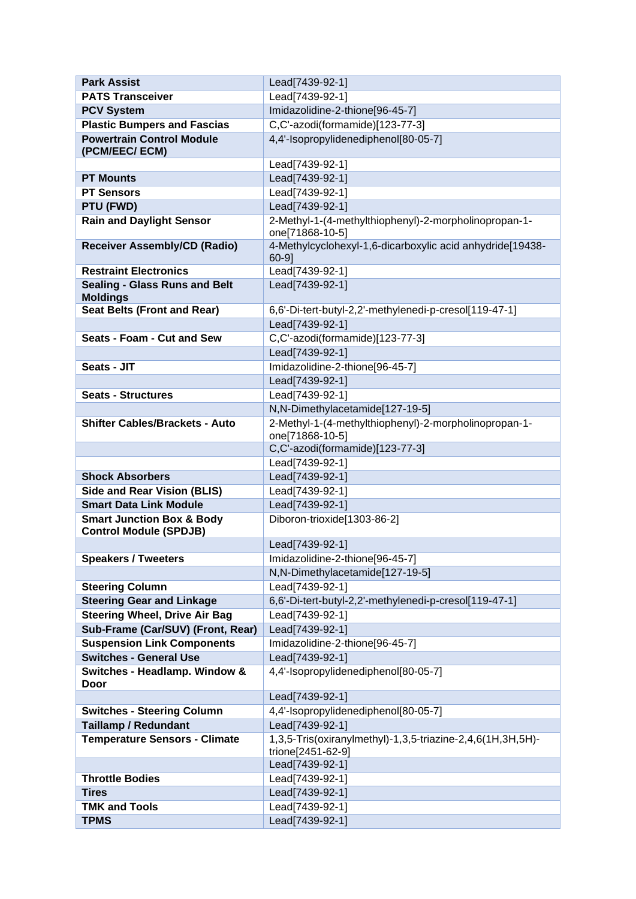| <b>Park Assist</b>                                                    | Lead[7439-92-1]                                                                 |
|-----------------------------------------------------------------------|---------------------------------------------------------------------------------|
| <b>PATS Transceiver</b>                                               | Lead[7439-92-1]                                                                 |
| <b>PCV System</b>                                                     | Imidazolidine-2-thione[96-45-7]                                                 |
| <b>Plastic Bumpers and Fascias</b>                                    | C,C'-azodi(formamide)[123-77-3]                                                 |
| <b>Powertrain Control Module</b><br>(PCM/EEC/ECM)                     | 4,4'-Isopropylidenediphenol[80-05-7]                                            |
|                                                                       | Lead[7439-92-1]                                                                 |
| <b>PT Mounts</b>                                                      | Lead[7439-92-1]                                                                 |
| <b>PT Sensors</b>                                                     | Lead[7439-92-1]                                                                 |
| PTU (FWD)                                                             | Lead[7439-92-1]                                                                 |
| <b>Rain and Daylight Sensor</b>                                       | 2-Methyl-1-(4-methylthiophenyl)-2-morpholinopropan-1-<br>one[71868-10-5]        |
| <b>Receiver Assembly/CD (Radio)</b>                                   | 4-Methylcyclohexyl-1,6-dicarboxylic acid anhydride[19438-<br>$60-9$ ]           |
| <b>Restraint Electronics</b>                                          | Lead[7439-92-1]                                                                 |
| <b>Sealing - Glass Runs and Belt</b><br><b>Moldings</b>               | Lead[7439-92-1]                                                                 |
| <b>Seat Belts (Front and Rear)</b>                                    | 6,6'-Di-tert-butyl-2,2'-methylenedi-p-cresol[119-47-1]                          |
|                                                                       | Lead[7439-92-1]                                                                 |
| Seats - Foam - Cut and Sew                                            | C,C'-azodi(formamide)[123-77-3]                                                 |
|                                                                       | Lead[7439-92-1]                                                                 |
| Seats - JIT                                                           | Imidazolidine-2-thione[96-45-7]                                                 |
|                                                                       | Lead[7439-92-1]                                                                 |
| <b>Seats - Structures</b>                                             | Lead[7439-92-1]                                                                 |
|                                                                       | N,N-Dimethylacetamide[127-19-5]                                                 |
| <b>Shifter Cables/Brackets - Auto</b>                                 | 2-Methyl-1-(4-methylthiophenyl)-2-morpholinopropan-1-<br>one[71868-10-5]        |
|                                                                       | C,C'-azodi(formamide)[123-77-3]                                                 |
|                                                                       | Lead[7439-92-1]                                                                 |
| <b>Shock Absorbers</b>                                                | Lead[7439-92-1]                                                                 |
| <b>Side and Rear Vision (BLIS)</b>                                    | Lead[7439-92-1]                                                                 |
| <b>Smart Data Link Module</b>                                         | Lead[7439-92-1]                                                                 |
| <b>Smart Junction Box &amp; Body</b><br><b>Control Module (SPDJB)</b> | Diboron-trioxide[1303-86-2]                                                     |
|                                                                       | Lead[7439-92-1]                                                                 |
| <b>Speakers / Tweeters</b>                                            | Imidazolidine-2-thione[96-45-7]                                                 |
|                                                                       | N,N-Dimethylacetamide[127-19-5]                                                 |
| <b>Steering Column</b>                                                | Lead[7439-92-1]                                                                 |
| <b>Steering Gear and Linkage</b>                                      | 6,6'-Di-tert-butyl-2,2'-methylenedi-p-cresol[119-47-1]                          |
| <b>Steering Wheel, Drive Air Bag</b>                                  | Lead[7439-92-1]                                                                 |
| Sub-Frame (Car/SUV) (Front, Rear)                                     | Lead[7439-92-1]                                                                 |
| <b>Suspension Link Components</b>                                     | Imidazolidine-2-thione[96-45-7]                                                 |
| <b>Switches - General Use</b>                                         | Lead[7439-92-1]                                                                 |
| Switches - Headlamp. Window &<br>Door                                 | 4,4'-Isopropylidenediphenol[80-05-7]                                            |
|                                                                       | Lead[7439-92-1]                                                                 |
| <b>Switches - Steering Column</b>                                     | 4,4'-Isopropylidenediphenol[80-05-7]                                            |
| <b>Taillamp / Redundant</b>                                           | Lead[7439-92-1]                                                                 |
| Temperature Sensors - Climate                                         | 1,3,5-Tris(oxiranylmethyl)-1,3,5-triazine-2,4,6(1H,3H,5H)-<br>trione[2451-62-9] |
|                                                                       | Lead[7439-92-1]                                                                 |
| <b>Throttle Bodies</b>                                                | Lead[7439-92-1]                                                                 |
| <b>Tires</b>                                                          | Lead[7439-92-1]                                                                 |
| <b>TMK and Tools</b>                                                  | Lead[7439-92-1]                                                                 |
| <b>TPMS</b>                                                           | Lead[7439-92-1]                                                                 |